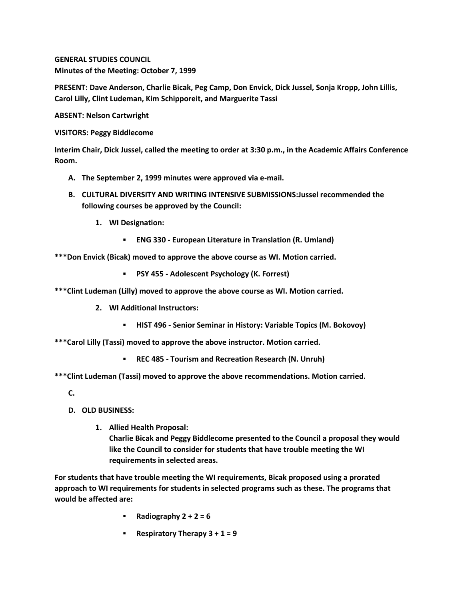**GENERAL STUDIES COUNCIL Minutes of the Meeting: October 7, 1999**

**PRESENT: Dave Anderson, Charlie Bicak, Peg Camp, Don Envick, Dick Jussel, Sonja Kropp, John Lillis, Carol Lilly, Clint Ludeman, Kim Schipporeit, and Marguerite Tassi**

**ABSENT: Nelson Cartwright**

**VISITORS: Peggy Biddlecome**

**Interim Chair, Dick Jussel, called the meeting to order at 3:30 p.m., in the Academic Affairs Conference Room.**

- **A. The September 2, 1999 minutes were approved via e-mail.**
- **B. CULTURAL DIVERSITY AND WRITING INTENSIVE SUBMISSIONS:Jussel recommended the following courses be approved by the Council:** 
	- **1. WI Designation:**
		- **ENG 330 - European Literature in Translation (R. Umland)**

**\*\*\*Don Envick (Bicak) moved to approve the above course as WI. Motion carried.** 

**PSY 455 - Adolescent Psychology (K. Forrest)**

**\*\*\*Clint Ludeman (Lilly) moved to approve the above course as WI. Motion carried.**

**2. WI Additional Instructors:**

**HIST 496 - Senior Seminar in History: Variable Topics (M. Bokovoy)**

**\*\*\*Carol Lilly (Tassi) moved to approve the above instructor. Motion carried.** 

**REC 485 - Tourism and Recreation Research (N. Unruh)**

**\*\*\*Clint Ludeman (Tassi) moved to approve the above recommendations. Motion carried.**

- **C.**
- **D. OLD BUSINESS:**
	- **1. Allied Health Proposal: Charlie Bicak and Peggy Biddlecome presented to the Council a proposal they would like the Council to consider for students that have trouble meeting the WI requirements in selected areas.**

**For students that have trouble meeting the WI requirements, Bicak proposed using a prorated approach to WI requirements for students in selected programs such as these. The programs that would be affected are:**

- **Radiography 2 + 2 = 6**
- **Respiratory Therapy 3 + 1 = 9**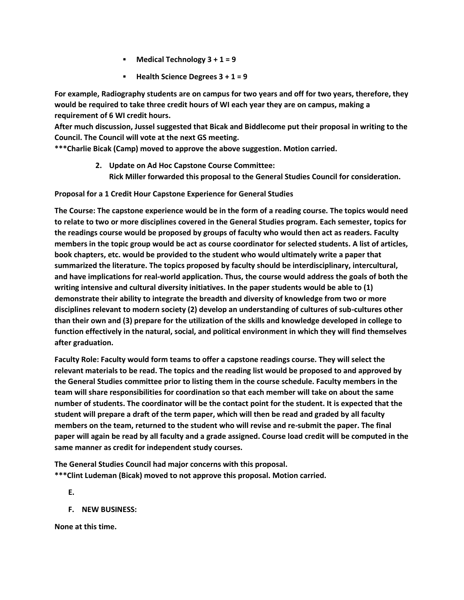- **Medical Technology 3 + 1 = 9**
- **Health Science Degrees 3 + 1 = 9**

**For example, Radiography students are on campus for two years and off for two years, therefore, they would be required to take three credit hours of WI each year they are on campus, making a requirement of 6 WI credit hours.**

**After much discussion, Jussel suggested that Bicak and Biddlecome put their proposal in writing to the Council. The Council will vote at the next GS meeting.**

**\*\*\*Charlie Bicak (Camp) moved to approve the above suggestion. Motion carried.**

**2. Update on Ad Hoc Capstone Course Committee: Rick Miller forwarded this proposal to the General Studies Council for consideration.** 

**Proposal for a 1 Credit Hour Capstone Experience for General Studies**

**The Course: The capstone experience would be in the form of a reading course. The topics would need to relate to two or more disciplines covered in the General Studies program. Each semester, topics for the readings course would be proposed by groups of faculty who would then act as readers. Faculty members in the topic group would be act as course coordinator for selected students. A list of articles, book chapters, etc. would be provided to the student who would ultimately write a paper that summarized the literature. The topics proposed by faculty should be interdisciplinary, intercultural, and have implications for real-world application. Thus, the course would address the goals of both the writing intensive and cultural diversity initiatives. In the paper students would be able to (1) demonstrate their ability to integrate the breadth and diversity of knowledge from two or more disciplines relevant to modern society (2) develop an understanding of cultures of sub-cultures other than their own and (3) prepare for the utilization of the skills and knowledge developed in college to function effectively in the natural, social, and political environment in which they will find themselves after graduation.**

**Faculty Role: Faculty would form teams to offer a capstone readings course. They will select the relevant materials to be read. The topics and the reading list would be proposed to and approved by the General Studies committee prior to listing them in the course schedule. Faculty members in the team will share responsibilities for coordination so that each member will take on about the same number of students. The coordinator will be the contact point for the student. It is expected that the student will prepare a draft of the term paper, which will then be read and graded by all faculty members on the team, returned to the student who will revise and re-submit the paper. The final paper will again be read by all faculty and a grade assigned. Course load credit will be computed in the same manner as credit for independent study courses.**

**The General Studies Council had major concerns with this proposal. \*\*\*Clint Ludeman (Bicak) moved to not approve this proposal. Motion carried.**

**E.**

**F. NEW BUSINESS:**

**None at this time.**